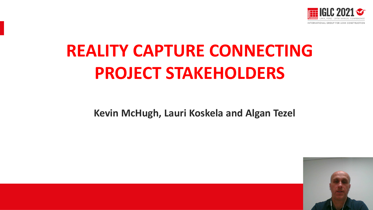

# **REALITY CAPTURE CONNECTING PROJECT STAKEHOLDERS**

**Kevin McHugh, Lauri Koskela and Algan Tezel**

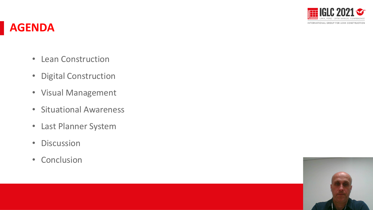

#### **AGENDA**

- Lean Construction
- Digital Construction
- Visual Management
- Situational Awareness
- Last Planner System
- Discussion
- Conclusion

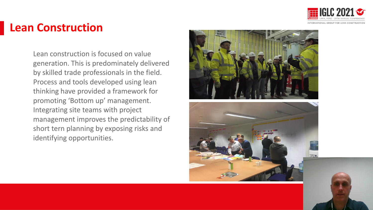

#### **Lean Construction**

management improves the predictability of Lean construction is focused on value generation. This is predominately delivered by skilled trade professionals in the field. Process and tools developed using lean thinking have provided a framework for promoting 'Bottom up' management. Integrating site teams with project short tern planning by exposing risks and identifying opportunities.



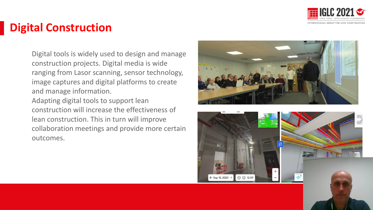

## **Digital Construction**

Digital tools is widely used to design and manage construction projects. Digital media is wide ranging from Lasor scanning, sensor technology, image captures and digital platforms to create and manage information.

lean construction. This in turn will improve Adapting digital tools to support lean construction will increase the effectiveness of collaboration meetings and provide more certain outcomes.



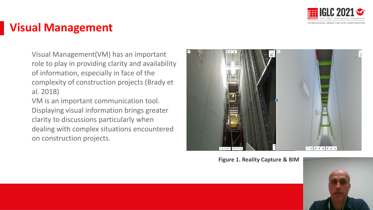

## **Visual Management**

Visual Management(VM) has an important role to play in providing clarity and availability of information, especially in face of the complexity of construction projects (Brady et al. 2018)

VM is an important communication tool. Displaying visual information brings greater clarity to discussions particularly when dealing with complex situations encountered on construction projects.



**Figure 1. Reality Capture & BIM**

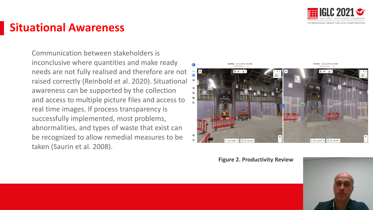

### **Situational Awareness**

Communication between stakeholders is inconclusive where quantities and make ready needs are not fully realised and therefore are not raised correctly (Reinbold et al. 2020). Situational awareness can be supported by the collection and access to multiple picture files and access to real time images. If process transparency is successfully implemented, most problems, abnormalities, and types of waste that exist can be recognized to allow remedial measures to be taken (Saurin et al. 2008).



**Figure 2. Productivity Review**

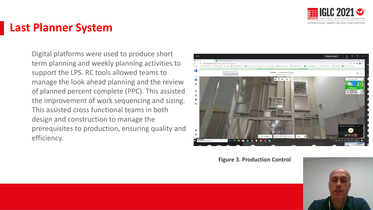

#### **Last Planner System**

Digital platforms were used to produce short term planning and weekly planning activities to support the LPS. RC tools allowed teams to manage the look ahead planning and the review of planned percent complete (PPC). This assisted the improvement of work sequencing and sizing. This assisted cross functional teams in both design and construction to manage the prerequisites to production, ensuring quality and efficiency.



**Figure 3. Production Control**

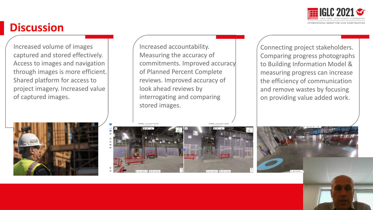

## **Discussion**

Increased volume of images captured and stored effectively. Access to images and navigation through images is more efficient. Shared platform for access to project imagery. Increased value of captured images.

Increased accountability. Measuring the accuracy of commitments. Improved accuracy of Planned Percent Complete reviews. Improved accuracy of look ahead reviews by interrogating and comparing stored images.

Connecting project stakeholders. Comparing progress photographs to Building Information Model & measuring progress can increase the efficiency of communication and remove wastes by focusing on providing value added work.





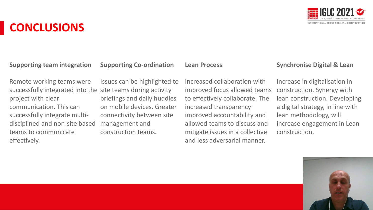

**Supporting team integration**

**CONCLUSIONS**

**Supporting Co-ordination**

**Lean Process**

Remote working teams were successfully integrated into the site teams during activity project with clear communication. This can successfully integrate multidisciplined and non-site based teams to communicate effectively.

Issues can be highlighted to briefings and daily huddles on mobile devices. Greater connectivity between site management and construction teams.

Increased collaboration with improved focus allowed teams to effectively collaborate. The increased transparency improved accountability and allowed teams to discuss and mitigate issues in a collective and less adversarial manner.

#### **Synchronise Digital & Lean**

Increase in digitalisation in construction. Synergy with lean construction. Developing a digital strategy, in line with lean methodology, will increase engagement in Lean construction.